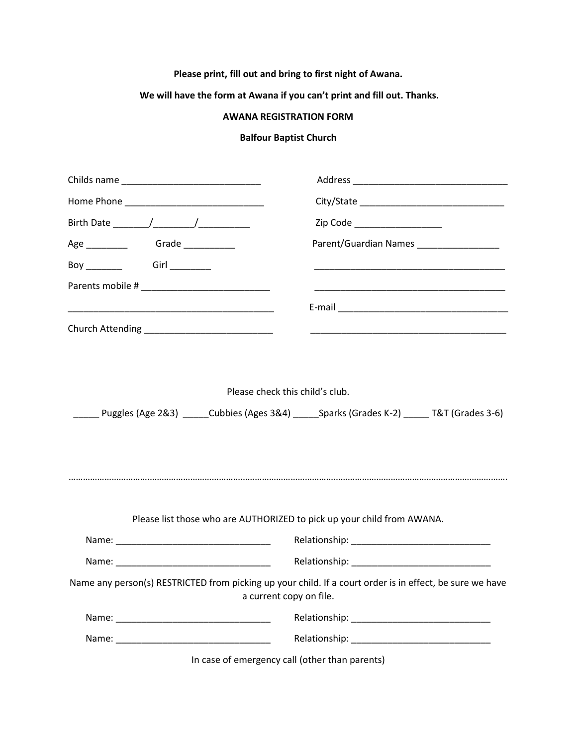## **Please print, fill out and bring to first night of Awana.**

## **We will have the form at Awana if you can't print and fill out. Thanks.**

## **AWANA REGISTRATION FORM**

## **Balfour Baptist Church**

|                           | Zip Code <b>All According to the Code</b>                                                                                           |
|---------------------------|-------------------------------------------------------------------------------------------------------------------------------------|
|                           | Parent/Guardian Names _________________                                                                                             |
| Boy ________ Girl _______ |                                                                                                                                     |
|                           |                                                                                                                                     |
|                           |                                                                                                                                     |
|                           | <u> 1999 - Johann John Stone, markin film yn y brening yn y brening yn y brening yn y brening yn y brening yn y b</u>               |
|                           | Please check this child's club.<br>Puggles (Age 2&3) _____Cubbies (Ages 3&4) _____Sparks (Grades K-2) _____T&T (Grades 3-6)         |
|                           | Please list those who are AUTHORIZED to pick up your child from AWANA.                                                              |
|                           |                                                                                                                                     |
|                           |                                                                                                                                     |
|                           | Name any person(s) RESTRICTED from picking up your child. If a court order is in effect, be sure we have<br>a current copy on file. |
|                           |                                                                                                                                     |